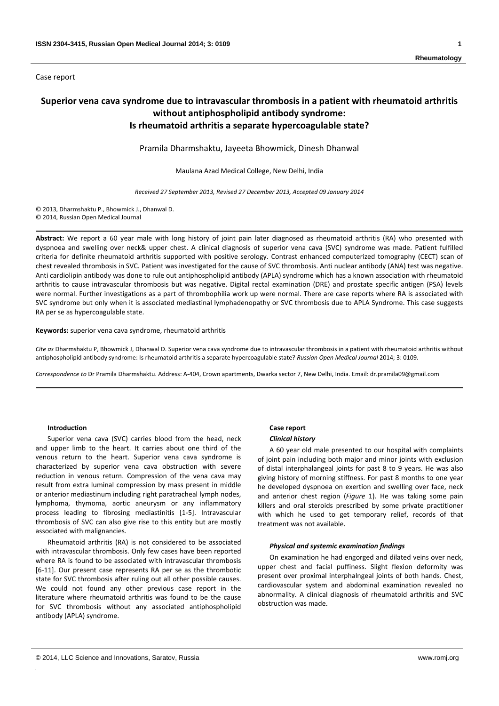Case report

# **Superior vena cava syndrome due to intravascular thrombosis in a patient with rheumatoid arthritis without antiphospholipid antibody syndrome: Is rheumatoid arthritis a separate hypercoagulable state?**

Pramila Dharmshaktu, Jayeeta Bhowmick, Dinesh Dhanwal

Maulana Azad Medical College, New Delhi, India

*Received 27 September 2013, Revised 27 December 2013, Accepted 09 January 2014*

© 2013, Dharmshaktu P., Bhowmick J., Dhanwal D. © 2014, Russian Open Medical Journal

**Abstract:** We report a 60 year male with long history of joint pain later diagnosed as rheumatoid arthritis (RA) who presented with dyspnoea and swelling over neck& upper chest. A clinical diagnosis of superior vena cava (SVC) syndrome was made. Patient fulfilled criteria for definite rheumatoid arthritis supported with positive serology. Contrast enhanced computerized tomography (CECT) scan of chest revealed thrombosis in SVC. Patient was investigated for the cause of SVC thrombosis. Anti nuclear antibody (ANA) test was negative. Anti cardiolipin antibody was done to rule out antiphospholipid antibody (APLA) syndrome which has a known association with rheumatoid arthritis to cause intravascular thrombosis but was negative. Digital rectal examination (DRE) and prostate specific antigen (PSA) levels were normal. Further investigations as a part of thrombophilia work up were normal. There are case reports where RA is associated with SVC syndrome but only when it is associated mediastinal lymphadenopathy or SVC thrombosis due to APLA Syndrome. This case suggests RA per se as hypercoagulable state.

**Keywords:** superior vena cava syndrome, rheumatoid arthritis

*Cite as* Dharmshaktu P, Bhowmick J, Dhanwal D. Superior vena cava syndrome due to intravascular thrombosis in a patient with rheumatoid arthritis without antiphospholipid antibody syndrome: Is rheumatoid arthritis a separate hypercoagulable state? *Russian Open Medical Journal* 2014; 3: 0109.

*Correspondence to* Dr Pramila Dharmshaktu. Address: A‐404, Crown apartments, Dwarka sector 7, New Delhi, India. Email: dr.pramila09@gmail.com

### **Introduction**

Superior vena cava (SVC) carries blood from the head, neck and upper limb to the heart. It carries about one third of the venous return to the heart. Superior vena cava syndrome is characterized by superior vena cava obstruction with severe reduction in venous return. Compression of the vena cava may result from extra luminal compression by mass present in middle or anterior mediastinum including right paratracheal lymph nodes, lymphoma, thymoma, aortic aneurysm or any inflammatory process leading to fibrosing mediastinitis [1‐5]. Intravascular thrombosis of SVC can also give rise to this entity but are mostly associated with malignancies.

Rheumatoid arthritis (RA) is not considered to be associated with intravascular thrombosis. Only few cases have been reported where RA is found to be associated with intravascular thrombosis [6‐11]. Our present case represents RA per se as the thrombotic state for SVC thrombosis after ruling out all other possible causes. We could not found any other previous case report in the literature where rheumatoid arthritis was found to be the cause for SVC thrombosis without any associated antiphospholipid antibody (APLA) syndrome.

## **Case report**

### *Clinical history*

A 60 year old male presented to our hospital with complaints of joint pain including both major and minor joints with exclusion of distal interphalangeal joints for past 8 to 9 years. He was also giving history of morning stiffness. For past 8 months to one year he developed dyspnoea on exertion and swelling over face, neck and anterior chest region (*Figure* 1). He was taking some pain killers and oral steroids prescribed by some private practitioner with which he used to get temporary relief, records of that treatment was not available.

## *Physical and systemic examination findings*

On examination he had engorged and dilated veins over neck, upper chest and facial puffiness. Slight flexion deformity was present over proximal interphalngeal joints of both hands. Chest, cardiovascular system and abdominal examination revealed no abnormality. A clinical diagnosis of rheumatoid arthritis and SVC obstruction was made.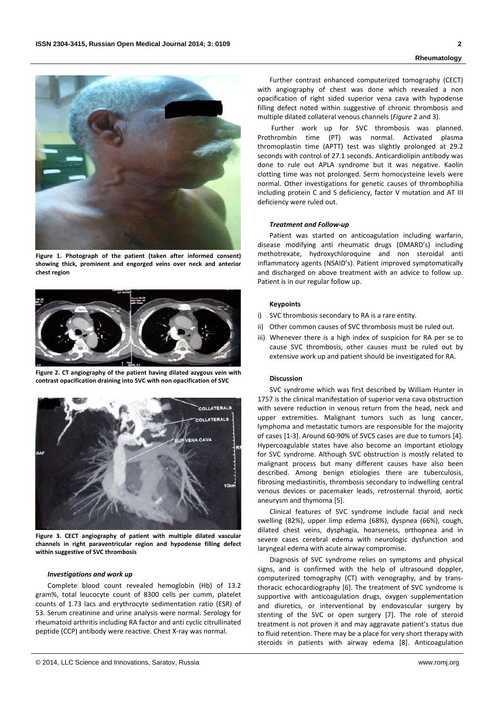

**Figure 1. Photograph of the patient (taken after informed consent) showing thick, prominent and engorged veins over neck and anterior chest region**



**Figure 2. CT angiography of the patient having dilated azygous vein with contrast opacification draining into SVC with non opacification of SVC**



**Figure 3. CECT angiography of patient with multiple dilated vascular channels in right paraventricular region and hypodense filling defect within suggestive of SVC thrombosis**

## *Investigations and work up*

Complete blood count revealed hemoglobin (Hb) of 13.2 gram%, total leucocyte count of 8300 cells per cumm, platelet counts of 1.73 lacs and erythrocyte sedimentation ratio (ESR) of 53. Serum creatinine and urine analysis were normal. Serology for rheumatoid arthritis including RA factor and anti cyclic citrullinated peptide (CCP) antibody were reactive. Chest X‐ray was normal.

Further contrast enhanced computerized tomography (CECT) with angiography of chest was done which revealed a non opacification of right sided superior vena cava with hypodense filling defect noted within suggestive of chronic thrombosis and multiple dilated collateral venous channels (*Figure* 2 and 3).

Further work up for SVC thrombosis was planned. Prothrombin time (PT) was normal. Activated plasma thromoplastin time (APTT) test was slightly prolonged at 29.2 seconds with control of 27.1 seconds. Anticardiolipin antibody was done to rule out APLA syndrome but it was negative. Kaolin clotting time was not prolonged. Serm homocysteine levels were normal. Other investigations for genetic causes of thrombophilia including protein C and S deficiency, factor V mutation and AT III deficiency were ruled out.

#### *Treatment and Follow‐up*

Patient was started on anticoagulation including warfarin, disease modifying anti rheumatic drugs (DMARD's) including methotrexate, hydroxychloroquine and non steroidal anti inflammatory agents (NSAID's). Patient improved symptomatically and discharged on above treatment with an advice to follow up. Patient is in our regular follow up.

#### **Keypoints**

- i) SVC thrombosis secondary to RA is a rare entity.
- ii) Other common causes of SVC thrombosis must be ruled out.
- iii) Whenever there is a high index of suspicion for RA per se to cause SVC thrombosis, other causes must be ruled out by extensive work up and patient should be investigated for RA.

#### **Discussion**

SVC syndrome which was first described by William Hunter in 1757 is the clinical manifestation of superior vena cava obstruction with severe reduction in venous return from the head, neck and upper extremities. Malignant tumors such as lung cancer, lymphoma and metastatic tumors are responsible for the majority of cases [1‐3]. Around 60‐90% of SVCS cases are due to tumors [4]. Hypercoagulable states have also become an important etiology for SVC syndrome. Although SVC obstruction is mostly related to malignant process but many different causes have also been described. Among benign etiologies there are tuberculosis, fibrosing mediastinitis, thrombosis secondary to indwelling central venous devices or pacemaker leads, retrosternal thyroid, aortic aneurysm and thymoma [5].

Clinical features of SVC syndrome include facial and neck swelling (82%), upper limp edema (68%), dyspnea (66%), cough, dilated chest veins, dysphagia, hoarseness, orthopnea and in severe cases cerebral edema with neurologic dysfunction and laryngeal edema with acute airway compromise.

Diagnosis of SVC syndrome relies on symptoms and physical signs, and is confirmed with the help of ultrasound doppler, computerized tomography (CT) with venography, and by trans‐ thoracic echocardiography [6]. The treatment of SVC syndrome is supportive with anticoagulation drugs, oxygen supplementation and diuretics, or interventional by endovascular surgery by stenting of the SVC or open surgery [7]. The role of steroid treatment is not proven it and may aggravate patient's status due to fluid retention. There may be a place for very short therapy with steroids in patients with airway edema [8]. Anticoagulation